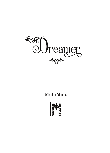

## MultiMind

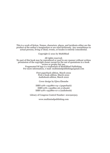This is a work of fiction. Names, characters, places, and incidents either are the product of the author's imagination or are used fictitiously. Any resemblance to actual persons, living or dead, events, or locales is entirely coincidental.

Copyright © 2021 by MultiMind

All rights reserved.

No part of this book may be reproduced or used in any manner without written permission of the copyright owner except for the use of quotations in a book review or proper fair use. Fragmented M logo is a trademark of MultiMind Publishing. For more information, e-mail: multimindpublishing@gmail.com

> First paperback edition, March 2022 First e-book edition, March 2022 Audiobook edition, March 2022

Cover design by Ejiwa Ebenebe

ISBN 978-1-952860-04-1 (paperback) ISBN 978-1-952860-06-5 (ebook) ISBN 978-1-952860-07-2 (audiobook)

Library of Congress Control Number: 2021920523

www.multimindpublishing.com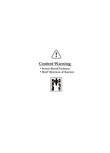

### **Content Warning:**

- Severe Blood/Violence
- Brief Mention of Racism

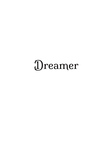# Dreamer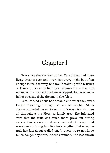## Chapter I

Ever since she was four or five, Vera always had these lively dreams over and over. Not every night but often enough to feel that way. She would wake up with brushes of leaves in her coily hair, her pajamas covered in dirt, soaked with water, skinned knees, ripped clothes or snow in her pockets. If she dreamt it, she felt it.

Vera learned about her dreams and what they were, Dream Traveling, through her mother Adelia. Adelia always reminded her not to fear, as this was a trait that ran all throughout the Florence family tree. She informed Vera that the trait was much more prevalent during slavery times, even used as a method of escape and sometimes to bring families back together. But now, the trait has just about trailed off. "I guess we're not in so much danger anymore," Adelia assumed. The last known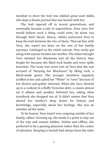member to show the trait was Adelia's great aunt Addie, who kept a dream journal that was buried with her.

The trait tapered off in recent generations, and eventually became a tale of superstition. Even now, few would believe such a thing could exist, let alone run through their blood. Hence, Adelia instructed Vera to keep the trait between the two of them. That sat fine with Vera; she wasn't too keen on the rest of her family anyways. Cataloged as the weird outcast, Vera rarely got along with anyone besides her mother. The elders thought Vera rebuked her Blackness and all the history they fought for because she liked rock bands and wore spike bracelets. The irony was never lost on Vera that she was accused of "denying her Blackness" by liking rock, a Black-made genre. The younger members regularly scoffed at her and called her "White" or "oreo" because of her diction and gothic interests. When she once showed up to a cookout in a fluffy Victorian skirt, a cousin almost set it aflame and another followed her, asking what storybook she dropped out of. It didn't matter that Vera shared her mother's deep desire for history and knowledge, especially about her heritage. She was an outsider all the same.

To be honest, Vera wasn't very outgoing outside of her family, either. Growing up, she made it a point to stay out of the way and remain hidden. Online and offline, she preferred to be a passing phantom rather than the center of attention. Keeping to herself had always been the safer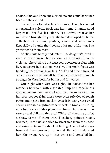choice. If no one knew she existed, no one could harm her because she existed.

Instead, she found solace in music. Though she had an expansive palette, Rock was her home. It understood her, made her feel less alone. Less weird, even at her weirdest. Through the years, she had developed quite the collection of albums, posters, shirts and wristbands. Especially of bands that looked a lot more like her. She gravitated to them most.

Adelia could hardly understand her daughter's love for such raucous music but as long as it wasn't drugs or violence, she tried to be at least some version of okay with it. A reluctant but cautious version. Her main focus was her daughter's dream traveling. Adelia had dream traveled only once or twice herself but the trait showed up much stronger in Vera, both for better and for worse.

One night when Vera was eight, she darted into her mother's bedroom with a terrible limp and rope burns gripped across her throat. Awful, red burns seared into her rose-copper skin; there were even prickles of rough twine among the broken skin. Awash in tears, Vera cried about a horrible nightmare: sent back in time and strung up a tree for a midday picnic lynching. There were men, women and children there, all White, all cheering as if at a show. Some of them wore bleached, pointed hoods. Terrified, Vera said she tried to wrest free from the noose and woke up from the shock of falling. Adelia had always been a difficult person to ruffle and rile but this alarmed her. She swept Vera up in her arms and consoled her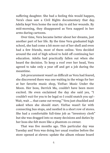suffering daughter. She had a feeling this would happen, Vera's class saw a Civil Rights documentary that day. Adelia kept Vera home the next day to aid her wounds. By mid-morning, they disappeared as Vera napped in her arms during cartoons.

Over time, Vera became better about her dreams, just another part of her life. By the time Vera graduated high school, she had come a bit more out of her shell and even had a few friends, most of them online. Vera decided around the end of high school to hold off continuing her education. Adelia had practically fallen out when she heard the decision. To keep a roof over her head, Vera agreed to take only a year off and get a job during the meantime.

Job procurement wasn't as difficult as Vera had feared, she discovered there was one waiting in the wings for her at her favorite music shop, YinYue: Music Under the Moon. Her boss, Derrick Ma, couldn't have been more excited. He even exclaimed the day she said yes, "I couldn't *wait* for you to be legal so I could snatch you up!– Wait, wait … that came out wrong." Vera just chuckled and asked when she should start. YinYue wasn't far with connecting bus stops, and nestled in a short row of stores. She had a comfortable full-time job as "inventory clerk" but she was dragged into so many decisions and duties by her boss she felt more like a phantom co-owner.

That was five months ago. This particular day was Tuesday and Vera was doing her usual routine before the store opened at eleven: update the album release board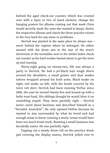behind the aged check-out counter, which was crusted over with a layer or two of band stickers; change the hanging posters for albums coming out that week (Vera would secretly stash the ones she wanted to keep); shelve the respective albums and check the three practice rooms in the very back for any mess or problems.

Derrick was planted in the same place he always was – never behind the register where he belonged. He either messed with the drum sets at the rear of the store's showroom or the turntables next to the sticker-laden checkout counter as his hard worker buzzed about to get the store up and running.

Thirty-eight going on twenty-two, life was always a party to Derrick. He had a jet-black hair rough shorn around his shoulders, a small goatee and dual snakes tattoos wrapped around his built arms. Black snake on right, red snake on left, with the heads covered by his worn red shirt. Derrick had been running YinYue since 2006, the year he turned twenty-five and wound up with a hefty trust fund. His siblings thought he would blow it on something stupid. They were partially right – Derrick never cared about business and described himself as a "Socialist Anarchist". He only opened YinYue because he wanted to stay surrounded by what he loved and had enough sense to know running a music venue would have been too much brain work. Running a small business was decidedly easier. He was partially right.

Tapping out a steady drum roll on the practice drum pad covering the display snares, Derrick yelled over to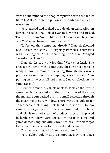Vera as she minded the shop computer next to the tablet till, "Hey! Don't forget to put on some ambiance music or something!"

Vera paused and looked up, a deadpan expression on her round face. She looked over to her boss and fussed, "I've been runnin' ʻround like a chicken with my head cut off - You've just been drumming away!"

"You're on the computer, already!" Derrick shouted back across the store. He expertly twirled a drumstick with his fingers. "Pick something cool! Like Avenged Sevenfold or The–"

"Derrick! It's too *early* for that!" Vera shot back. She checked the time on the computer. The store needed to be ready in twenty minutes. Scrolling through the various playlists stored on the computer, Vera decided, "I'm putting on some psychill and trance. Can you check on the game racks?"

Derrick craned his thick neck to look at the music games section crowded into the front corner of the store, the morning sun bathed over the small selection through the gleaming picture window. There were a couple tester dance pads, a standing rack filled with various rhythm games, tester guitar controllers hanging under the large dual televisions and a stack of product boxes, all displayed in haphazard glory. Vera clicked on the televisions and game demos sang out with vibrant colors. Derrick forgot to turn off the consoles for the weekend, *again*.

The owner shrugged, "Looks good to me."

Vera sighed quietly at the computer. How this place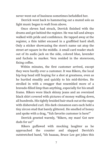never went out of business sometimes befuddled her.

Derrick went back to hammering out a muted solo as light music began to waft from above.

Once eleven had struck, Derrick finished with the drums and got behind the register. He was tall and always walked with pride and confidence. He tapped away at the register, a thin tablet encased in a graffitied hard shell. Only a sticker showcasing the store's name sat atop the street art square in the middle. A small card reader stuck out of its audio jack on the side, colored blue, lavender and fuchsia in marker. Vera resided in the storeroom, fixing coffee.

Within minutes, the first customer arrived, except they were hardly ever a customer. It was Rikers, the local hip-hop head still hoping for a shot at greatness, even as he hurtled steadily and quickly to his mid-thirties. He strolled in with a swagger that resembled more of a bravado-filled limp than anything, especially for his small frame. Rikers wore black skinny jeans and an oversized black shirt covered with pictures of money wafting down, all hundreds. His tightly braided hair stuck out at the nape with disheveled curl. His dark cinnamon ears each held a tiny zircon stud that barely glittered. He smelled of honey and spoke with a drag, "Yuh favorite customer is here!"

Derrick greeted warmly, "Rikers, my man! Got new duds for us?"

Rikers guffawed with mocking laughter as he approached the counter and slapped Derrick's outstretched hand, "Ah haaaaa, Bruce Lee got jokes this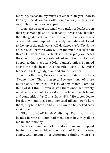morning. Maaaaan, my mixes are amazin' an' you know it. Twen'ny-nine downloads offa SoundVapor just this past *week*." He smiled a gold-capped grin.

Derrick stared at the small wire rack nestled between the register and plastic tubs of candy. It was a touch taller than the golden cat statue in front of the register and bits of enamel paint chipped off, clearly second-hand. Taped to the top of the rack was a well-designed card: "Try Some of Our Local Flavors! Only \$5". In the middle rack sat all three of Rikers' albums. Enclosed in purple jewel cases, the cover displayed a poorly edited rendition of The Last Supper taking place in a lofty banker's office. Stamped above the holy heads was the title "Love God, Praise Money" in gold, gaudy, diamond-studded letters.

With a flat face, Derrick returned his stare to Rikers, "ʻTwenty-nine'? That's *amazing*. Because none of these moved at *all* this week. Or last. Or this month, come to think of it. I think I even dusted them once. But twentynine? Whatever will Kanye do in the face of such talent and competition? Jay-Z must be *terrified*." He pretended to break down and plead to a bemused Rikers, "Don't hurt them, they both have children and wives!" he choked back a fake tear.

Rikers waved off Derrick's ribbing. "Nah, man, I ʻon't be messin' with no Illuminati men. That's how they all be makin' their money."

Vera sauntered out of the storeroom and stepped behind the counter, blowing on a cup of light and sweet coffee. She lamented her unfortunate timing when she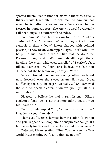spotted Rikers. Just in time for his wild theories. Usually, Rikers would leave after Derrick reamed him but not when he is gathering an audience. Vera stood beside Derrick in moral support – she knew he would eventually call her along as co-sufferer if she didn't.

"Both him *an'* Hova, both workin' for the devil," Rikers continued. "Don't believe me? Why they got all them symbols in their videos?" Rikers clapped with pointed passion, "They. Devil. Worshippin'. *Signs*. That's why Hov be puttin' his hands in the air like that, he doin' the Freemason sign and that's Illuminati alllll right there." Reading the clear, wide-eyed disbelief of Derrick's face, Rikers blathered on, "Yuh ʻon't believe me ʻcuz you Chinese but she be feelin' me, don't you Vera?"

Vera continued to nurse her cooling coffee, her broad nose hovered over the sweet steam. Hot seat. Great. Muffled by the cup, she began, "Actually …." She removed the cup to speak clearer, "Where'd you get all this information?"

Pleased to believe he had a rapt listener, Rikers explained, "Baby girl, I saw this thing online ʻbout Hov an' his hands an–"

"Wait …," interrupted Vera, "A random video online? That doesn't sound reliabl–"

"Thank you!" Derrick jumped in with elation. "Now you and your rapper-alien crop-circle conspiracies can *go*. It's far too early for this and I haven't even had my coffee yet."

Dejected, Rikers gruffed, "Fine. You ʻon't see the New World Order comin'. Don't say I ain't say nothin'."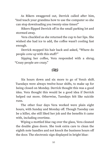As Rikers swaggered out, Derrick called after him, "And teach your grandma how to use the computer so she can stop downloading you twenty-nine times!"

Rikers flipped Derrick off in the small parking lot and stormed away.

Vera chuckled as she returned the cup to her lips. She wished she had ice to add, the coffee wasn't cooling fast enough.

Derrick mopped his hair back and asked, "Where do people *come up* with this stuff?"

Sipping her coffee, Vera responded with a shrug. "Crazy people are crazy."

#### ೧೪೧

Six hours down and six more to go of Vera's shift. Tuesdays were always twelve-hour shifts, to make up for being closed on Monday. Derrick thought this was a good idea. Vera thought this would be a good idea if Derrick helped out more. Otherwise, Tuesdays felt like suicide runs.

The other four days Vera worked were plain eight hours, with Sunday and Monday off. Though Tuesday can be a killer, she still liked her job and the benefits it came with, including overtime.

Wiping a mottled blue rag over the glass, Vera cleaned the double glass doors. She took extra care to clean the eighth note handles and not knock the business hours off the door. The electronic sign displayed in bright blue: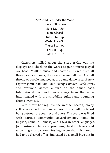**YinYue: Music Under the Moon Hours of Business Sun: 12p** – **5p Mon: Closed Tues: 11a** – **9p Weds: 11a** – **9p Thurs: 11a** – **9p Fri: 11a** – **9p Sat: 11a – 10p**

Customers milled about the store trying out the displays and checking the wares as punk music played overhead. Muffled music and chatter muttered from all three practice rooms, they were booked all day. A small throng of people amassed at the game demo area. A new rhythm game had come out, *Stomp Thunder: World Force*, and everyone wanted a turn on the dance pads. International pop and dance songs from the game intermingled with the shredding guitars and pounding drums overhead.

Vera threw her rag into the weather-beaten, moldy yellow work bucket and moved over to the bulletin board hung between the counter and doors. The board was filled with various community advertisements, some in English, some in Chinese, and a few in other languages. Job postings, childcare programs, health classes and upcoming music shows. Postings older than six months had to be cleared off, as indicated by a small blue dot in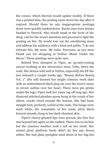the corner, which Derrick would update weekly. If there was a printed date, the posting came down the day after it expired. Should there be any inappropriate postings, those were quickly yanked down. Racist ones were always handed to Derrick, who would stand at the front of the shop, call for the store's attention and proceed to light the posting on fire. He would toss out the smoldering mass and address his audience with a kind and polite, "I do not tolerate this. My store. My rules. Everyone, as you were. Thank you for shopping at YinYue: Music Under the Moon." Those postings were quite rare.

Behind Vera slumped in Viper, an up-and-coming emcee working at the electronics store, Volts, down the road. Her demos sold well at YinYue, especially the EP she just released a couple weeks ago, "Beauty Before Beasts, Vol. 1". She still donned her bright crimson work shirt with an embroidered black plug sat over the store's name in circuit outline over her heart. There were pin pricks under the logo; Viper took her name tag off long ago. Her diamond stitched pleather purse hung in the crook of her elbow, cracks vined around the bottom. She had bone straight hair, perfectly curled at the ends. The bangs were stark white, the remainder of her mane pitch black. Several strands clung to her dark chestnut skin.

Viper's cherry-glossed lips were pursed, the free bus was beyond late again so she walked. There was no incline but the summer weather took a toll on her stroll. Her muted plum platform heels didn't do her any favors, either. She had plain pumpkin seed shoes in her bag but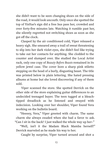she didn't want to be seen changing shoes on the side of the road, it would look uncouth. Only once she spotted the top of YinYue's sign did a free bus pass her, crowded and over forty-five minutes late. Watching it rumble past her, she silently regretted not switching shoes as soon as she got off the clock.

Clasped by the air conditioned cold, Viper released a heavy sigh. She smeared away a trail of sweat threatening to slip into her dark violet eyes, she didn't feel like trying to take out her contacts for anything. She clodded to the counter and slumped over. She studied the Local Artist rack, only one copy of *Beauty Before Beasts* remained in its yellow jewel case. The cover bore a sharp pink stiletto stepping on the head of a burly, disgusting beast. The title was printed below in plain lettering. She hated pressing albums at home but she loved discovering if any of them sold.

Viper scanned the store. She spotted Derrick on the other side of the store explaining guitar differences to an undecided teenaged buyer. The teen tugged at a bleachtipped dreadlock as he listened and swayed with indecision. Looking over her shoulder, Viper found Vera working on the bulletin board.

"Heeeey, Vera," Viper greeted with charm. The same charm she always exuded when she had a favor to ask. "Can I sit in the back? I just walked the whole way up her–"

"Well, isn't it the Madam Black Mamba herself!" Derrick marveled as he made his way to her.

Caught by surprise, Viper turned around and shot a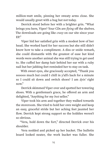million-watt smile, pinning her sweaty arms close. She would usually greet with a hug but not today.

Derrick stood before her with a brighter grin. "What brings you here, Viper? Your CDs are *flying* off the shelves. The downloads are going like *crazy* on our site since your EP."

Viper hid her satisfied grin with a modest bow of her head. She worked hard for her success but she still didn't know how to take a compliment. A diss or snide remark, she could dismantle with the greatest of ease but kind words were another animal she was still trying to get used to. She cuffed her damp hair behind her ear with a ruby nail but her jabbing feet reminded her to stay on task.

With sweet eyes, she graciously accepted, "Thank you sooooo much but could I chill in y'all's back for a minute so I could sit down and switch shoes? I am *dyin'* right  $now''$ 

Derrick skimmed Viper over and spotted her towering shoes. With a gentleman's grace, he offered an arm and delighted, "Anything for my *best* seller."

Viper took his arm and together they walked towards the storeroom. She tried to hold her own weight and keep an easy, graceful stride but her aching feet jaunted her flow. Derrick kept strong support so the hobbles weren't so obvious.

"Vera, hold down the fort," directed Derrick over his shoulder.

Vera nodded and picked up her bucket. The bulletin board looked neater, the work bucket was fuller. She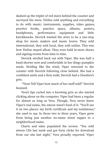dashed up the triplet of red stairs behind the counter and surveyed the store. YinYue sold anything and everything to do with music: instruments, supplies, video games, practice books, practice space, albums, posters, headphones, performance equipment and little knickknacks. Derrick wanted the store to be a one-stop shop for music makers and music lovers. They sold international, they sold local, they sold online. This was how YinYue stayed afloat. They even held in-store shows and signing events from time to time.

Derrick strolled back out with Viper. She was half a head shorter now and comfortable in her dingy pumpkin seeds. Striding like the wind, Viper returned to the counter with Derrick following close behind. She had a confident smile and a firm walk; Derrick had a Cheshire's grin.

"Vera! Tell Viper how much of her stuff sold!" Derrick beamed.

Vera's lips curled into a knowing grin as she started clicking about on the computer. Viper had been a regular for almost as long as Vera. Though, Vera never knew Viper's real name, the emcee wasn't fond of it. "You'll see it on two places: my birth certificate and my tombstone," she used to say. In those two to three years, Viper grew from being just another no-name street rapper to a neighborhood name.

Charts and sales populated the screen. "You sold eleven CDs last week and got forty clicks for download from our site last night," Vera proudly reported. Viper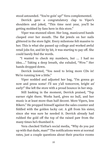stood astounded. "You're goin' up!" Vera complemented.

Derrick gave a congratulatory clap to Viper's shoulders and joked, "This time next year, you'll be getting mobbed by fans here in this store."

Viper was stunned silent. Her long, manicured hands clasped over her mouth. The flat jewels on her nails glittered in the store light. Every milestone felt massive to her. This is what she passed up college and worked awful retail jobs for, and bit by bit, it was starting to pay off. She could barely find the words.

"I wanted to check my numbers, but … I had no idea…." Taking a deep breath, she exhaled, "*Wow.*" Her hands dropped down.

Derrick insisted, "You need to bring more CDs in! We're running low a little."

Viper nodded and adjusted her bag, "I'm gonna go now and press some! I'll see y'all tomorrow, bright an' early!" She left the store with a proud bounce in her step.

Still basking in the moment, Derrick praised, "Top earner right there. Works hard, gives no bull, and her music is at least more than half decent. More Vipers, less Rikers." He propped himself against the sales counter and fiddled with the golden lucky cat. A gift from his sister, since she was sure he needed it. Derrick already had rubbed the gold off the top of the raised paw from the many times he's thumbed it.

Vera checked YinYue's social media, "Why do you put up with that dude, man?" The notifications were at normal rates, just a couple questions about their practice rooms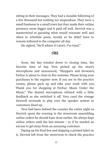sitting in their messages. They had a sizeable following of a few thousand but nothing too stupendous. They were a small business in a small town but they made their online presence seem bigger and it paid off well. Derrick was a mastermind at guessing what would resonate well and when to schedule posts, mostly so he didn't have to remain tethered to the computer all day.

He sighed, "He'll whine if I don't. I've tried."

#### $\mathbb{C}\mathbb{C}$

Soon, the day winded down to closing time, the favorite time of day. Vera picked up the store's microphone and announced, "Shoppers and browsers, YinYue is about to close in five minutes. Please bring your purchases to the register now. If you are in the practice rooms, please pack up and take your trash with you. Thank you for shopping at YinYue: Music Under the Moon." The dented microphone whined with a little feedback as she switched it off. Vera cued the vintage farewell serenade to play over the speaker system as customers lined up.

Vera had been behind the counter the entire night as Derrick spent the evening in the storeroom assembling online orders he should have done earlier. He always kept online orders until the last minute – or if he needed an excuse to get away from an annoying customer.

Taping up his final box and slapping a printed label on it, Derrick left from the storeroom to check the practice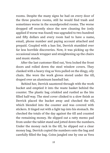rooms. Despite the many signs he had on every door of the three practice rooms, still he would find trash and sometimes worse in the soundproofed rooms. The worse dropped off recently since the new cleaning fee (only applied if worse was found) was upgraded to two hundred and fifty dollars and every room had to have a name, email, phone number and paying account attached and prepaid. Coupled with a ban list, Derrick stumbled over far less horrible discoveries. Now, it was picking up the occasional snack wrapper and straightening up the chairs and music stands.

After the last customer filed out, Vera locked the front doors and rolled down the steel window covers. They clanked with a heavy ring as Vera pulled on the dingy, oily chain. She wore the work gloves stored under the till, draped over an aluminum baseball bat.

Behind her, Derrick sauntered through with the work bucket and emptied it into the waste basket behind the counter. The plastic bag crinkled and rustled as the bin filled half-way. The steel cover clinked to a slow finish as Derrick placed the bucket away and checked the till, which blended into the counter and was covered with stickers. It tinged out with a light tap into his stomach. He checked the totals of the day against the till and counted the remaining money. He slipped out a ratty memo pad from under the tablet stand and jotted down the numbers. Under the money rack in the till, he slipped out a clear money bag. Derrick copied the numbers onto the bag and carefully filled the bag. Coins jangled one by one as Vera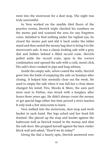went into the storeroom for a dust mop. The night was truly uneventful.

As Vera worked on the marble tiled floors of the practice rooms, Derrick triple checked his numbers on the memo pad and scanned the area for any forgotten coins. Satisfied to find nothing under his vigilant eye, he closed the memo pad and slid it back under the tablet stand and then sealed the money bag shut to bring it to the storeroom's safe. It was a classic-looking safe with a grey dial and hidden behind a filled record crate. Derrick pulled aside the record crate, spun in the correct combination and opened the safe with a cold, metal click. The safe's door creaked in pips and long whines.

Inside the empty safe, velvet coated the walls. Derrick grew into the habit of emptying the safe on Sundays after closing. It helped him mentally close out the week. He used to empty the safe when it was full but a close shave changed his mind: Tire, Shocks & More, the auto part store next to YinYue, was struck with a burglary after hours three years ago. He didn't always count the money or get special bags either but time proved a strict teacher. It only took a few miscounts to learn.

Vera walked into the storeroom, dust mop and work bucket in each hand. Her legs ached and her head felt drained. She placed up the mop and bucket against the bathroom wall as Derrick tossed in the money and shut the safe door. She propped herself against the bare cinder block wall and asked, "How'd we do today?"

Giving the dial a hearty spin, Derrick answered over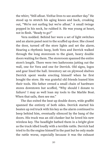the whirr, "Still afloat. YinYue lives to see another day." He stood up to stretch his aging knees and back, croaking out, "We're not surfing but we're afloat." A small twinge popped in his neck, he rubbed it. He was young at heart, not in flesh. "Ready to go?"

Vera nodded. Behind her were a set of light switches and an alarm panel next to the scuffed up door. She closed the door, turned off the store lights and set the alarm. Hearing a rhythmic beep, both Vera and Derrick walked through the long storeroom to the giant, heavy double doors waiting for them. The storeroom spanned the entire store's length. There were two bathrooms jutting out the wall, one for Vera and one for Derrick. Old signs, logos and gear lined the hall. Inventory sat on plywood shelves Derrick spent weeks erecting himself when he first bought the store. He was grateful old friends loaned him their tools. His father owned a small chain of hardware stores downtown but scoffed, "Why should I donate to failure? I may as well loan my tools to the Marble Boat. When that sails, then see me."

The duo exited the beat up double doors, wide graffiti spanned the entirety of both sides. Derrick started his beaten up red truck with his key as the alarm continued to beep behind him, eventually silenced by the bang of the doors. His truck was an old clunker but he loved his new wireless key. The headlight bathed them in a bright glow as the truck idled loudly with a terrible rattle. Derrick had tried to fix the engine himself in the past but he only made the rattle worse, especially because it was the exhaust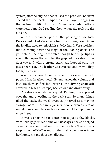system, not the engine, that caused the problem. Stickers coated the steel back bumper in a thick layer, ranging in theme from politics to music. Some were faded, others were new. Vera liked reading them when she took breaks outside.

With a mechanical pop of the passenger side lock, Derrick unlocked Vera's side first. He sprang down from the loading dock to unlock his side by hand. Vera took her time climbing down the ledge of the loading dock. The grumble of the engine vibrated though her fingertips as she pulled open the handle. She gripped the sides of the doorway and with a strong yank, she hopped onto the passenger seat. The leather was cracked and worn, dirty foam jutted out.

Waiting for Vera to settle in and buckle up, Derrick popped in a thrasher metal CD and turned the volume dial low. He then shifted into reverse, the driving shaft orb covered in black duct tape, backed out and drove away.

The drive was relatively quiet. Drilling music played over the angry jostling in the back seat. So many things filled the back, the truck practically served as a moving storage room. There were jackets, books, even a crate of maintenance supplies such as a windshield scraper and a wrench set.

It was a short ride to Vera's house, just a few blocks. Vera usually got rides home on Tuesdays since she helped close. Otherwise, she'd wait for the free bus. There was a stop in front of YinYue and another half a block away from her home, not much of a challenge.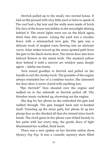Derrick pulled up to the small, two storied house. It laid on flat ground with very little yard or lawn to speak of. The roof had a flat tent and the walls were made of brick. The face of the house was hidden in the moonlight shining behind it. The street lights were out on the block again, third time this season. Lining the yard was a wooden fence with a mismatched iron gate. The gate was a delicate work of tangled roses flowing into an intricate curve. Solar stakes traced up the stone-spotted path from the gate to the black storm door. The storm door also bore latticed flowers in the metal work. The mustard yellow door behind it held a narrow arc window pane deeply aglow – Adelia was home.

Vera waved goodbye to Derrick and pulled on the handle to exit the clunky truck. The grumble of the engine always reminded her of a combine tractor. She slammed the door shut; it never closed with anything less.

"Bye Derrick!" Vera shouted over the engine and walked on to the sidewalk as Derrick pulled off. The thrasher music rocketed up, drowning out the engine.

She dug for her phone as she unhooked the gate and walked through. The gate banged back and re-hooked itself. Traveling up the stone path, her phone lit up her plump face as she checked all that she missed since lunch break. The clock gears in her phone case ticked loosely in her palm with her every step, the gentle discs of light illuminated her scuffed, thick boots.

There was a new update on her favorite online show, *Mystery Pop Pop*. It was a comedic mystery show filled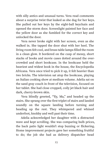with silly antics and unusual turns. Vera read comments about a surprise twist that leaked as she dug for her keys. She pulled out her keys by the eight-ball keychain and opened the storm door. Screenlight painted her face and the yellow door as she fumbled for the correct key and unlocked the door.

Vera never broke sight with her screen, even as she walked in. She tapped the door shut with her heel. The living room felt cool, and brass table lamps filled the room in a clean glow. It bordered on the cusp of messy, short stacks of books and movie cases dotted around the overcrowded and short bookcase. In the bookcase held the heaviest and widest book in the house, the Encyclopedia Africana. Vera once tried to pick it up, it felt heavier than two bricks. The television sat atop the bookcase, playing an Italian cooking show at medium volume. Adelia sat on the sand gray couch in front of the television, focused on her tablet. She had close cropped, coily jet black hair and dark, cherry-brown skin.

Vera blindly greeted, "ʻEy, Ma," and headed up the stairs. She sprang over the first triplet of stairs and landed soundly on the square landing before turning and heading up the rest. They whimpered and whined underfoot, knobby and well past their time.

Adelia acknowledged her daughter with a distracted wave and kept scrolling. She was comparing bulb prices, the back patio light wouldn't stop buzzing or flickering. Home improvement projects gave her something fruitful to do; the job she had as delivery dispatcher head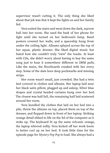supervisor wasn't cutting it. The only thing she liked about that job was that it kept the lights on and her family fed.

Vera exited the stairs and went down the dark, narrow hall into her room. She used the bask of her phone for light until she turned on her bedroom's lamp. Band posters covered her walls, and a spaceship hung from under the ceiling light. Albums splayed across the top of her squat, plastic dresser. She liked digital music but hated how she couldn't truly "own" the tracks. At least with CDs, she didn't worry about having to buy the same song just to hear it somewhere different or DRM pulls. Like the stairs, the floorboards creaked with her every step. Some of the slats bore deep pockmarks and missing strips.

Her room wasn't small, just crowded. She had a twin bed covered in clothes and albums. Her laptop laid near her black satin pillow, plugged up and asleep. Silver blue drapes and crystal beaded curtains hung over her bed. The closest was half full, the remaining half laid scattered around her room.

Vera bundled the clothes that laid on her bed into a pile, threw the albums on top, placed them on top of the dresser, and flopped down in front of her laptop. Striking orange detail ebbed to life on the lid of the computer as it woke up. The keyboard lit up the same volcanic orange, the laptop whirred softly. Vera kicked off her work boots to better curl up on her bed. It took little time for the episode page for *Mystery Pop Pop* to load. She always had a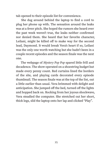tab opened to their episode list for convenience.

She dug around behind the laptop to find a cord to plug her phone up with. The sensation around the leaks was at a fever pitch. She hoped the rumors she heard over the past week weren't true, the leaks neither confirmed nor denied them. She heard that her favorite character, Leilani, might be killed off to make way for the second lead, Daymond. It would break Vera's heart if so, Leilani was the only one worth watching but she hadn't been in a couple recent episodes and the season finale was the next one.

The webpage of *Mystery Pop Pop* spared little frill and decadence. The show operated on a shoestring budget but made every penny count. Red curtains lined the borders of the site, and playing cards decorated every episode thumbnail. The season finale was at the top of the list, out a little earlier than usual. Vera brimmed with delight and anticipation. She jumped off the bed, turned off the lights and hopped back on. Rocking from her joyous shockwave, Vera steadied the computer. She stretched out her short, thick legs, slid the laptop onto her lap and clicked "Play".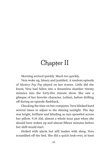## Chapter II

Morning arrived quickly. Much too quickly.

Vera woke up, bleary and jumbled. A random episode of *Mystery Pop Pop* played on her screen. Little did she know, Vera had fallen into a dreamless slumber twenty minutes into the forty-five minute show. She saw a glimpse of her favorite character, Leilani, before drifting off during an episode flashback.

Checking the time on her computer, Vera blinked hard several times to adjust to the shining sunlight. The day was bright, brilliant and blinding as rays sprawled across her pillow. 9:34 AM, almost a whole hour past when she should have woken up and almost fifteen minutes before her shift would start.

Perked with alarm but still leaden with sleep, Vera scrambled off the bed. She did a quick look-over, at least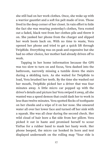she still had on her work clothes. Once, she woke up with a warrior gauntlet and a soft fox pelt made of iron. Those lived in the deep corner of her closet. In vain effort to hide the fact she was wearing yesterday's clothes, Vera rooted out a faded, black vest from her clothes pile and threw it on. She yanked her phone from the charger and slipped her work boots back on. With no time to waste, Vera opened her phone and tried to get a quick lift through TwipRide. Everything was on-peak and expensive but she had no other choice, her mother had already driven off to work.

Tapping in her home information because the GPS was too slow to turn on and focus, Vera dashed into the bathroom, narrowly missing a tumble down the stairs during a skidding turn. As she waited for TwipRide to load, Vera brushed her teeth. By the time she washed out her mouth, TwipRide picked her a driver that was four minutes away. A little micro car popped up with the driver's details and picture but Vera swiped it away, all she wanted was a speed demon that could dash her to work in less than twelve minutes. Vera spotted flecks of toothpaste on her cheeks and a wipe of it on her nose. She smeared water all over her lower face and turned off her sink with a squeak. She was all clear during the second check. Her wild cloud of hair bore a flat side from her pillow. Vera picked it out in haste and promised herself to scour YinYue for a rubber band to mask her hasty work. Her phone beeped, the micro car honked its horn and text displayed underneath on the rolling map "Your ride is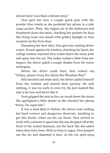almost here! Less than a minute away."

Vera gave her face a couple quick pats with the powder blue towels as she pocketed her phone in a side cargo pocket. Then, she ripped out of the bathroom and thundered down the stairs, checking her pockets for keys. The living room was awash with golden daylight as Vera erupted out the front door.

Slamming the door shut, Vera gave her waiting driver a start. Frozen against his window, clutching his heart, the college student watched Vera rocket down the stone path and spear into his car. The sedan rocked a little from her impact; the driver paled a couple shades from his warm mahogany.

Before the driver could thaw, Vera rushed out, "YinYue, please! Forty-five thirty-five Woodson Way!"

Still shocked and wide eyed, the driver pulled himself from the window and started their journey. He said nothing, it was too early to even try. He just wanted this trip to be over and drove like it.

Vera gripped the seat as the car raced down the street. She apologized a little slower as she checked her phone, "Sorry, I'm super late."

It was a mad dash to YinYue; the driver took nothing but hard corners and dangerous shortcuts. Anything to get this frantic client out his car faster. Vera arrived at work with a minute to spare but she was dropped off at the front of the locked business, not the back like she asked when they were close. With no time to argue, Vera jumped out the car and slammed it shut. As the car sped away,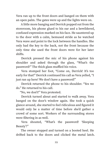Vera ran up to the front doors and banged on them with an open palm. The gates were up and the lights were on.

A little more banging and Derrick popped out from the storeroom, his phone glued to his ear and a bewildered, confused expression marked on his face. He sauntered up to the door with a calm, bemused stride as he watched Vera wave and point to the lock between the handles. She only had the key to the back, not the front because the only time she used the front doors were for her later shifts.

Derrick pressed the mic of his phone against his shoulder and asked through the glass, "What's the password?" The thick glass muffled his voice.

Vera stomped her foot, "Come on, Derrick! It's too early for that!" Derrick continued his call as Vera yelled, "I just ran up here! We don't have a password!"

Derrick returned the phone to his shoulder. "Yes we do." He returned to his call.

"No, we don't!" Vera protested.

Derrick turned about and started to walk away. Vera banged on the door's window again. She took a quick glance around, she started to feel ridiculous and figured it would only be a matter of time before she'd gather a crowd of some sort. Workers of the surrounding stores were filtering in as well.

Vera shouted, "What's the password! ʻSleeping Beauty'?"

The owner stopped and turned on a booted heel. He drifted back to the doors and clicked the metal latch.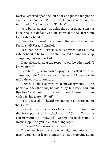Derrick cracked open the left door and placed the phone against his shoulder. With a simple and gentle tone, he informed, "The password is ʻI'm late'."

Vera barreled past him using the other door. "I am *not* late!" she said defiantly as she stormed to the storeroom for a rubber band.

Derrick continued his call, unbothered by her temper. "Nà shì shéi? Vera, tā chídàole."

Vera had heard Derrick as she stormed back out, no rubber band to be found. As she scoured around the shop computer, her ears perked.

Derrick chuckled at the response on the other end, "I know, right?"

Ears burning, Vera darted upright and asked over the computer, irate, "Hey, Derrick! Some help?" Any excuse to make the conversation stop.

Derrick nodded at Vera in acknowledgment. To the person on the other line, he said, "Hey, talk later? Duì, duì. Bye bye," and hung up. He found Vera focused on him with a frying glare. "What?"

Vera accused, "I heard my name. Y'all were talkin' ʻbout me!"

Derrick rolled his eyes as he slipped his phone into the back pocket of his black pants, "Christ, Vera, my cousin wanted to know who was in the background. I wasn't rippin' on you in another language."

"You sure?" Vera wasn't convinced.

The owner blew out a defeated sigh and rubbed his face. "Vera, either learn Mandarin or stop worrying about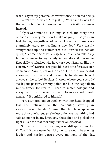what I say in my personal conversations," he stated firmly.

Vera's fire shriveled. "It's just …," Vera tried to look for the words but Derrick responded in the trailing silence instead.

"If you want me to talk in English each and every time or each and every mention I make of you just so you can feel better, regardless of what I say, you are very stunningly close to needing a new job." Vera hastily straightened up and stammered but Derrick cut her off quick, "Let me finish: This is *my* business. I can talk in *my* home language to *my* family in *my* store if *I* want to. Especially to relatives who have very poor English, like my cousin. Now," Derrick dropped his hard tone for a sweeter demeanor, "any questions or can I be the wonderful, adorable, fun loving and incredibly handsome boss I always strive to be? Besides, I know where you ʻsecretly' stash your posters. Twenty points for bucking capitalism, minus fifteen for stealth. I used to snatch cologne and spray paint from the rich stores uptown as a kid. Sneak smarter." He snickered to himself.

Vera stuttered out an apology with her head dropped low and returned to the computer, stewing in awkwardness. She didn't mind that her boss spoke in more than one language, she just didn't want anything bad said about her in any language. She sighed and picked the light music for that morning, Victorian classical.

Soft music in the morning was still quite new for YinYue. If it were up to Derrick, the store would be playing louder and harder genres every moment of the day.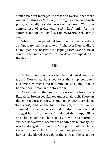Somehow, Vera managed to reason to Derrick that there was such a thing as "too early" for raging metal and brash punk, especially for the average customer. With the compromise of trying out "Soft Time" only for the summer and up until half past noon, Derrick reluctantly agreed.

Vibrant violins piped out from the overhead speakers as Vera searched the store to find whatever Derrick didn't do for opening. She gave out a gaping yawn as she noticed some of the practice room info boards weren't updated for the day.

೧೪೧

By half past noon, Vera felt beyond ran down. She tapped Derrick as he stood over the shop computer deciding new music and told him she was going to take her half hour break in the storeroom.

Tucked behind the dual bathrooms in the back was a little dusty brown cot situated under a tall shelf. There on that cot sat a travel pillow, a small teddy bear Derrick left "for décor", and, at the foot of the cot, a thin blanket clumped up in a pile. Vera closed the storeroom door and dragged herself to the cot. She fluffed the lumpy pillow and slipped off her shoes to lay down. She normally avoided naps at work because of her dreams but today she was too dragged down to care. Vera pulled out her phone to set an alarm to ring in half an hour and placed it against her leg. Ska blared throughout the store as she sorted to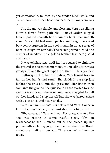get comfortable, muffled by the cinder block walls and closed door. Once her head touched the pillow, Vera was out.

The dream was simple and pleasant. Vera was sliding down a dense forest path like a snowboarder. Rugged terrain passed beneath her mountain boots like smooth snow. She could feel every pebble and twig. She sliced between evergreens in the cool mountain air as sprigs of needles caught in her hair. The rushing wind turned one cluster of needles into a golden feather fascinator, solid and heavy.

It was exhilarating, until her legs started to sink into the ground as she gained momentum, speeding towards a grassy cliff and the great expanse of the wild blue yonder.

Half-way sunk to her mid calves, Vera leaned back to fall on her hands and rump. She skidded to a stop just before she crossed onto the grassland. Her hands then sank into the ground like quicksand as she started to slide again. Crossing into the grassland, Vera struggled to pull out her hands and stop herself but she was jarred awake with a close hiss and heavy shake.

"Vera! Ver-ron-nic-ca!" Derrick rattled Vera. Concern knitted across his face, he almost shook her like a doll.

"Whaaaaaaaat?" Vera whined. For once, she felt like she was getting in some restful sleep. "I'm on breaaaaaaak," she bumbled out as she picked up her phone with a clumsy grip. She checked the time: Break ended over half an hour ago. Time was *not* on her side today.